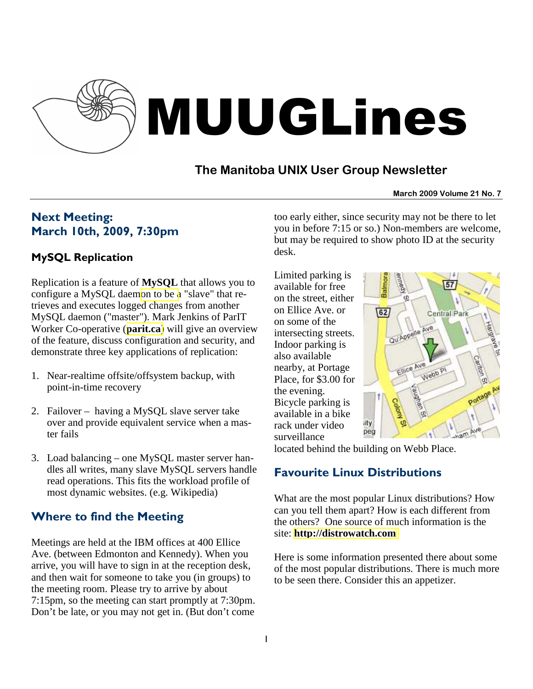

## **The Manitoba UNIX User Group Newsletter**

#### **March 2009 Volume 21 No. 7**

# Next Meeting: March 10th, 2009, 7:30pm

### MySQL Replication

Replication is a feature of **MySQL** that allows you to configure a MySQL daem[on to be a](http://en.wikipedia.org/wiki/MySQL) "slave" that retrieves and executes logged changes from another MySQL daemon ("master"). Mark Jenkins of ParIT Worker Co-operative (**[parit.ca](http://parit.ca/)**) will give an overview of the feature, discuss configuration and security, and demonstrate three key applications of replication:

- 1. Near-realtime offsite/offsystem backup, with point-in-time recovery
- 2. Failover having a MySQL slave server take over and provide equivalent service when a master fails
- 3. Load balancing one MySQL master server handles all writes, many slave MySQL servers handle read operations. This fits the workload profile of most dynamic websites. (e.g. Wikipedia)

## Where to find the Meeting

Meetings are held at the IBM offices at 400 Ellice Ave. (between Edmonton and Kennedy). When you arrive, you will have to sign in at the reception desk, and then wait for someone to take you (in groups) to the meeting room. Please try to arrive by about 7:15pm, so the meeting can start promptly at 7:30pm. Don't be late, or you may not get in. (But don't come too early either, since security may not be there to let you in before 7:15 or so.) Non-members are welcome, but may be required to show photo ID at the security desk.

Limited parking is available for free on the street, either on Ellice Ave. or on some of the intersecting streets. Indoor parking is also available nearby, at Portage Place, for \$3.00 for the evening. Bicycle parking is available in a bike rack under video surveillance



located behind the building on Webb Place.

## Favourite Linux Distributions

What are the most popular Linux distributions? How can you tell them apart? How is each different from the others? One source of much information is the site: **[http://distrowatch.com](http://distrowatch.com/)**

Here is some information presented there about some of the most popular distributions. There is much more to be seen there. Consider this an appetizer.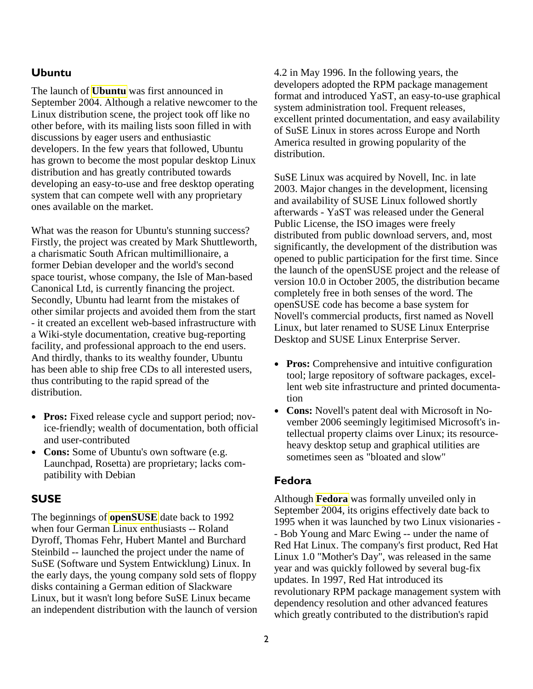### Ubuntu

The launch of **[Ubuntu](http://distrowatch.com/ubuntu)** was first announced in September 2004. Although a relative newcomer to the Linux distribution scene, the project took off like no other before, with its mailing lists soon filled in with discussions by eager users and enthusiastic developers. In the few years that followed, Ubuntu has grown to become the most popular desktop Linux distribution and has greatly contributed towards developing an easy-to-use and free desktop operating system that can compete well with any proprietary ones available on the market.

What was the reason for Ubuntu's stunning success? Firstly, the project was created by Mark Shuttleworth, a charismatic South African multimillionaire, a former Debian developer and the world's second space tourist, whose company, the Isle of Man-based Canonical Ltd, is currently financing the project. Secondly, Ubuntu had learnt from the mistakes of other similar projects and avoided them from the start - it created an excellent web-based infrastructure with a Wiki-style documentation, creative bug-reporting facility, and professional approach to the end users. And thirdly, thanks to its wealthy founder, Ubuntu has been able to ship free CDs to all interested users, thus contributing to the rapid spread of the distribution.

- **Pros:** Fixed release cycle and support period; novice-friendly; wealth of documentation, both official and user-contributed
- **Cons:** Some of Ubuntu's own software (e.g. Launchpad, Rosetta) are proprietary; lacks compatibility with Debian

#### **SUSE**

The beginnings of **[openSUSE](http://distrowatch.com/suse)** date back to 1992 when four German Linux enthusiasts -- Roland Dyroff, Thomas Fehr, Hubert Mantel and Burchard Steinbild -- launched the project under the name of SuSE (Software und System Entwicklung) Linux. In the early days, the young company sold sets of floppy disks containing a German edition of Slackware Linux, but it wasn't long before SuSE Linux became an independent distribution with the launch of version 4.2 in May 1996. In the following years, the developers adopted the RPM package management format and introduced YaST, an easy-to-use graphical system administration tool. Frequent releases, excellent printed documentation, and easy availability of SuSE Linux in stores across Europe and North America resulted in growing popularity of the distribution.

SuSE Linux was acquired by Novell, Inc. in late 2003. Major changes in the development, licensing and availability of SUSE Linux followed shortly afterwards - YaST was released under the General Public License, the ISO images were freely distributed from public download servers, and, most significantly, the development of the distribution was opened to public participation for the first time. Since the launch of the openSUSE project and the release of version 10.0 in October 2005, the distribution became completely free in both senses of the word. The openSUSE code has become a base system for Novell's commercial products, first named as Novell Linux, but later renamed to SUSE Linux Enterprise Desktop and SUSE Linux Enterprise Server.

- **Pros:** Comprehensive and intuitive configuration tool; large repository of software packages, excellent web site infrastructure and printed documentation
- **Cons:** Novell's patent deal with Microsoft in November 2006 seemingly legitimised Microsoft's intellectual property claims over Linux; its resourceheavy desktop setup and graphical utilities are sometimes seen as "bloated and slow"

#### Fedora

Although **[Fedora](http://distrowatch.com/fedora)** was formally unveiled only in September 2004, its origins effectively date back to 1995 when it was launched by two Linux visionaries - - Bob Young and Marc Ewing -- under the name of Red Hat Linux. The company's first product, Red Hat Linux 1.0 "Mother's Day", was released in the same year and was quickly followed by several bug-fix updates. In 1997, Red Hat introduced its revolutionary RPM package management system with dependency resolution and other advanced features which greatly contributed to the distribution's rapid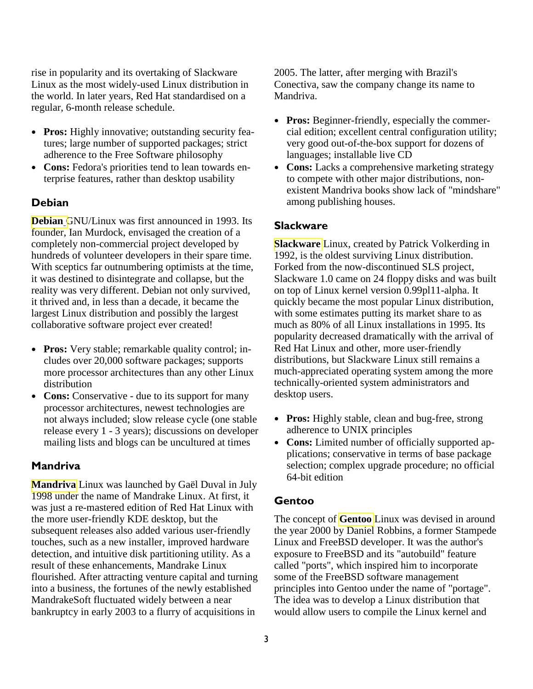rise in popularity and its overtaking of Slackware Linux as the most widely-used Linux distribution in the world. In later years, Red Hat standardised on a regular, 6-month release schedule.

- **Pros:** Highly innovative; outstanding security features; large number of supported packages; strict adherence to the Free Software philosophy
- **Cons:** Fedora's priorities tend to lean towards enterprise features, rather than desktop usability

### **Debian**

**[Debian](http://distrowatch.com/debian)** GNU/Linux was first announced in 1993. Its founder, Ian Murdock, envisaged the creation of a completely non-commercial project developed by hundreds of volunteer developers in their spare time. With sceptics far outnumbering optimists at the time, it was destined to disintegrate and collapse, but the reality was very different. Debian not only survived, it thrived and, in less than a decade, it became the largest Linux distribution and possibly the largest collaborative software project ever created!

- **Pros:** Very stable; remarkable quality control; includes over 20,000 software packages; supports more processor architectures than any other Linux distribution
- **Cons:** Conservative due to its support for many processor architectures, newest technologies are not always included; slow release cycle (one stable release every 1 - 3 years); discussions on developer mailing lists and blogs can be uncultured at times

### **Mandriva**

**[Mandriva](http://www.mandriva.com/)** Linux was launched by Gaël Duval in July 1998 under the name of Mandrake Linux. At first, it was just a re-mastered edition of Red Hat Linux with the more user-friendly KDE desktop, but the subsequent releases also added various user-friendly touches, such as a new installer, improved hardware detection, and intuitive disk partitioning utility. As a result of these enhancements, Mandrake Linux flourished. After attracting venture capital and turning into a business, the fortunes of the newly established MandrakeSoft fluctuated widely between a near bankruptcy in early 2003 to a flurry of acquisitions in

2005. The latter, after merging with Brazil's Conectiva, saw the company change its name to Mandriva.

- **Pros:** Beginner-friendly, especially the commercial edition; excellent central configuration utility; very good out-of-the-box support for dozens of languages; installable live CD
- Cons: Lacks a comprehensive marketing strategy to compete with other major distributions, nonexistent Mandriva books show lack of "mindshare" among publishing houses.

### **Slackware**

**[Slackware](http://distrowatch.com/slackware)** Linux, created by Patrick Volkerding in 1992, is the oldest surviving Linux distribution. Forked from the now-discontinued SLS project, Slackware 1.0 came on 24 floppy disks and was built on top of Linux kernel version 0.99pl11-alpha. It quickly became the most popular Linux distribution, with some estimates putting its market share to as much as 80% of all Linux installations in 1995. Its popularity decreased dramatically with the arrival of Red Hat Linux and other, more user-friendly distributions, but Slackware Linux still remains a much-appreciated operating system among the more technically-oriented system administrators and desktop users.

- **Pros:** Highly stable, clean and bug-free, strong adherence to UNIX principles
- Cons: Limited number of officially supported applications; conservative in terms of base package selection; complex upgrade procedure; no official 64-bit edition

### Gentoo

The concept of **[Gentoo](http://distrowatch.com/gentoo)** Linux was devised in around the year 2000 by Daniel Robbins, a former Stampede Linux and FreeBSD developer. It was the author's exposure to FreeBSD and its "autobuild" feature called "ports", which inspired him to incorporate some of the FreeBSD software management principles into Gentoo under the name of "portage". The idea was to develop a Linux distribution that would allow users to compile the Linux kernel and